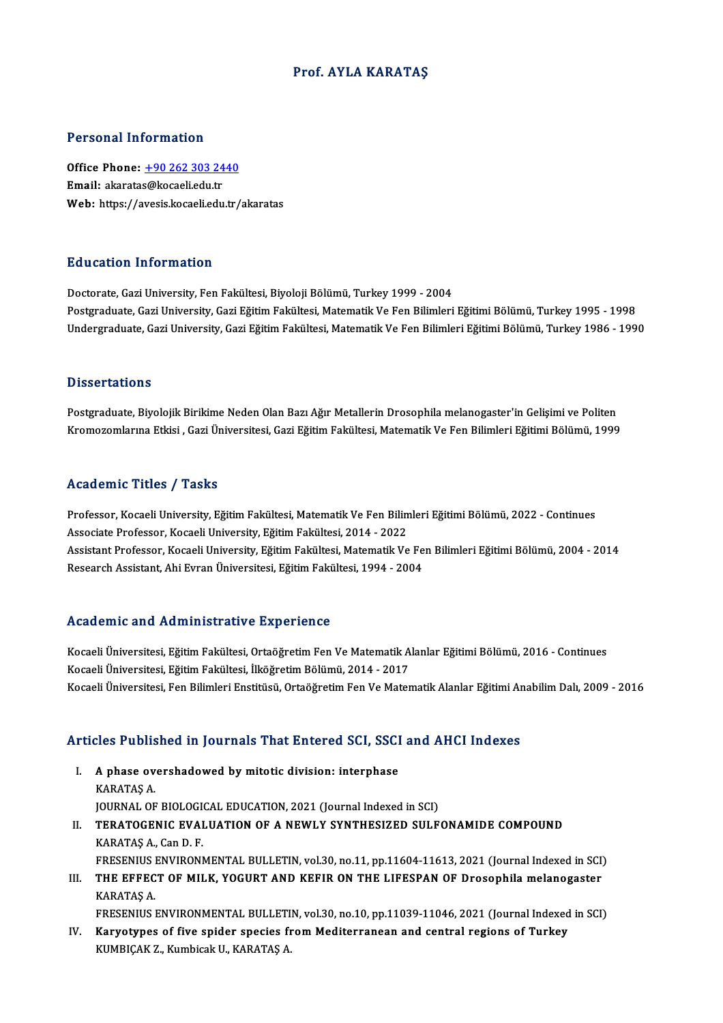## Prof. AYLA KARATAŞ

### Personal Information

Personal Information<br>Office Phone: <u>+90 262 303 2440</u><br>Email: algaratas@kagaeliadu.tr Processian antes matten<br>Office Phone: <u>+90 262 303 24</u><br>Email: akarata[s@kocaeli.edu.tr](tel:+90 262 303 2440) Email: akaratas@kocaeli.edu.tr<br>Web: https://avesis.kocaeli.edu.tr/akaratas

### Education Information

Doctorate, Gazi University, Fen Fakültesi, Biyoloji Bölümü, Turkey 1999 - 2004 Postgraduate, Gazi University, Gazi Eğitim Fakültesi, Matematik Ve Fen Bilimleri Eğitimi Bölümü, Turkey 1995 - 1998 Undergraduate, Gazi University, Gazi Eğitim Fakültesi, Matematik Ve Fen Bilimleri Eğitimi Bölümü, Turkey 1986 - 1990

### **Dissertations**

Postgraduate, Biyolojik Birikime Neden Olan Bazı Ağır Metallerin Drosophila melanogaster'in Gelişimi ve Politen Kromozomlarına Etkisi , Gazi Üniversitesi, Gazi Eğitim Fakültesi, Matematik Ve Fen Bilimleri Eğitimi Bölümü, 1999

### Academic Titles / Tasks

Professor, Kocaeli University, Eğitim Fakültesi, Matematik Ve Fen Bilimleri Eğitimi Bölümü, 2022 - Continues Associate Professor, Kocaeli University, Eğitim Fakültesi, 2014 - 2022 Professor, Kocaeli University, Eğitim Fakültesi, Matematik Ve Fen Bilimleri Eğitimi Bölümü, 2022 - Continues<br>Associate Professor, Kocaeli University, Eğitim Fakültesi, 2014 - 2022<br>Assistant Professor, Kocaeli University, E Associate Professor, Kocaeli University, Eğitim Fakültesi, 2014 - 2022<br>Assistant Professor, Kocaeli University, Eğitim Fakültesi, Matematik Ve Fe<br>Research Assistant, Ahi Evran Üniversitesi, Eğitim Fakültesi, 1994 - 2004 Research Assistant, Ahi Evran Üniversitesi, Eğitim Fakültesi, 1994 - 2004<br>Academic and Administrative Experience

Academic and Administrative Experience<br>Kocaeli Üniversitesi, Eğitim Fakültesi, Ortaöğretim Fen Ve Matematik Alanlar Eğitimi Bölümü, 2016 - Continues<br>Kosaeli Üniversitesi, Eğitim Fakültesi, İlköğretim Bölümü, 2014, 2017 Kocaeli Üniversitesi, Eğitim Fakültesi, Ortaöğretim Fen Ve Matematik A<br>Kocaeli Üniversitesi, Eğitim Fakültesi, Örtaöğretim Fen Ve Matematik A<br>Kocaeli Üniversitesi, Eğitim Fakültesi, İlköğretim Bölümü, 2014 - 2017 Kocaeli Üniversitesi, Eğitim Fakültesi, Ortaöğretim Fen Ve Matematik Alanlar Eğitimi Bölümü, 2016 - Continues<br>Kocaeli Üniversitesi, Eğitim Fakültesi, İlköğretim Bölümü, 2014 - 2017<br>Kocaeli Üniversitesi, Fen Bilimleri Ensti

# Kocaell Universitesi, Fen Billmieri Enstitusu, Ortaogretim Fen ve Matematik Alaniar Egitimi Ar<br>Articles Published in Journals That Entered SCI, SSCI and AHCI Indexes

- rticles Published in Journals That Entered SCI, SSCI<br>I. A phase overshadowed by mitotic division: interphase<br>KARATAS A I. A phase overshadowed by mitotic division: interphase<br>KARATAŞ A. A phase overshadowed by mitotic division: interphase<br>KARATAŞ A.<br>JOURNAL OF BIOLOGICAL EDUCATION, 2021 (Journal Indexed in SCI)<br>TERATOCENIC EVALUATION OF A NEWLY SYNTHESIZED SILLE
- II. TERATOGENIC EVALUATION OF A NEWLY SYNTHESIZED SULFONAMIDE COMPOUND KARATAS A., Can D. F. **JOURNAL OF BIOLOGI<br>TERATOGENIC EVAI<br>KARATAŞ A., Can D. F.<br>ERESENIUS ENVIRONI** TERATOGENIC EVALUATION OF A NEWLY SYNTHESIZED SULFONAMIDE COMPOUND<br>KARATAŞ A., Can D. F.<br>FRESENIUS ENVIRONMENTAL BULLETIN, vol.30, no.11, pp.11604-11613, 2021 (Journal Indexed in SCI)<br>THE ERRECT OF MILK YOCUPT AND KEFIR ON KARATAŞ A., Can D. F.<br>FRESENIUS ENVIRONMENTAL BULLETIN, vol.30, no.11, pp.11604-11613, 2021 (Journal Indexed in SCI)<br>III. THE EFFECT OF MILK, YOGURT AND KEFIR ON THE LIFESPAN OF Drosophila melanogaster<br>KARATAS A
- FRESENIUS I<br><mark>THE EFFEC</mark><br>KARATAŞ A.<br>ERESENIUS I III. THE EFFECT OF MILK, YOGURT AND KEFIR ON THE LIFESPAN OF Drosophila melanogaster<br>KARATAŞ A.<br>FRESENIUS ENVIRONMENTAL BULLETIN, vol.30, no.10, pp.11039-11046, 2021 (Journal Indexed in SCI)
- IV. Karyotypes of five spider species from Mediterranean and central regions of Turkey KUMBIÇAK Z., Kumbicak U., KARATAŞ A.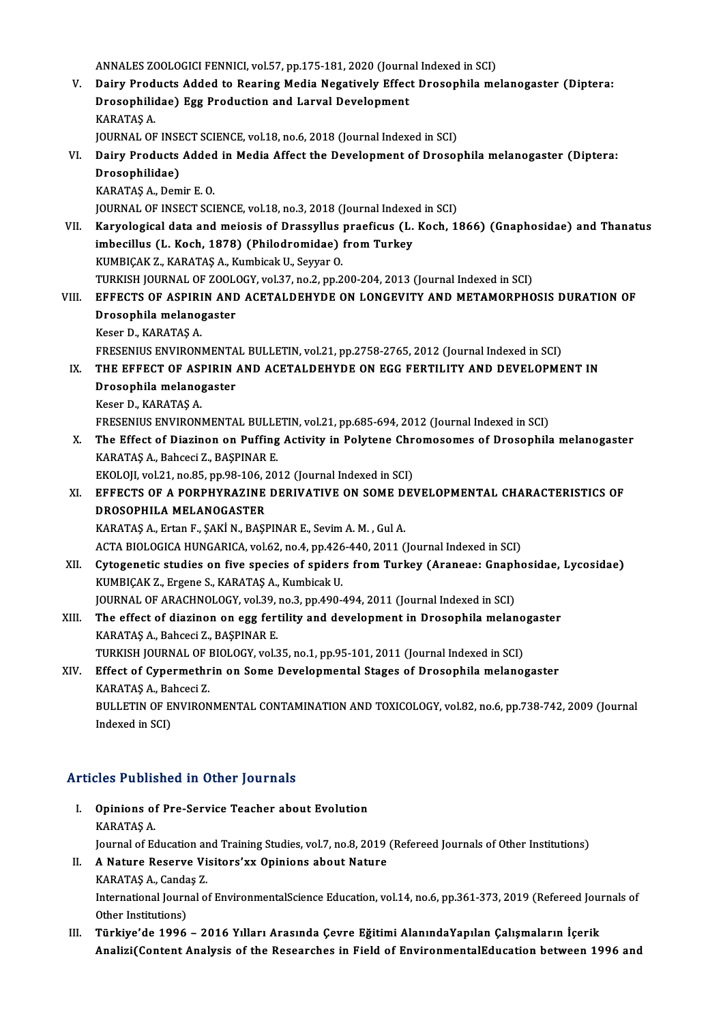ANNALES ZOOLOGICI FENNICI, vol.57, pp.175-181, 2020 (Journal Indexed in SCI)<br>Dainy Products Added to Pearing Media Negatively Effect Prosenbile me

- ANNALES ZOOLOGICI FENNICI, vol.57, pp.175-181, 2020 (Journal Indexed in SCI)<br>V. Dairy Products Added to Rearing Media Negatively Effect Drosophila melanogaster (Diptera: ANNALES ZOOLOGICI FENNICI, vol.57, pp.175-181, 2020 (Journa<br>Dairy Products Added to Rearing Media Negatively Effec<br>Drosophilidae) Egg Production and Larval Development<br>KARATAS A Dairy Prod<br>Drosophilio<br>KARATAŞ A.<br>JOUPNAL OF Drosophilidae) Egg Production and Larval Development<br>KARATAŞ A.<br>JOURNAL OF INSECT SCIENCE, vol.18, no.6, 2018 (Journal Indexed in SCI)<br>Dairy Products Added in Media Affect the Development of Dressy KARATAŞ A.<br>JOURNAL OF INSECT SCIENCE, vol.18, no.6, 2018 (Journal Indexed in SCI)<br>VI. Dairy Products Added in Media Affect the Development of Drosophila melanogaster (Diptera:<br>Drosophilidae)
	-
- **JOURNAL OF INSE<br>Dairy Products<br>Drosophilidae)**<br>KARATAS A. Dem Dairy Products Added<br>Drosophilidae)<br>KARATAŞ A., Demir E. O.<br>JOUPNAL OF INSECT SCI Drosophilidae)<br>KARATAŞ A., Demir E. O.<br>JOURNAL OF INSECT SCIENCE, vol.18, no.3, 2018 (Journal Indexed in SCI) KARATAŞ A., Demir E. O.<br>JOURNAL OF INSECT SCIENCE, vol.18, no.3, 2018 (Journal Indexed in SCI)<br>VII. Karyological data and meiosis of Drassyllus praeficus (L. Koch, 1866) (Gnaphosidae) and Thanatus<br>imbosillus (L. Kosh, 1979
- JOURNAL OF INSECT SCIENCE, vol.18, no.3, 2018 (Journal Indexe<br>Karyological data and meiosis of Drassyllus praeficus (L.<br>imbecillus (L. Koch, 1878) (Philodromidae) from Turkey<br>KUMBICAK 7, KARATAS A, Kumbisek U. Seurer O Karyological data and meiosis of Drassyllus<br>imbecillus (L. Koch, 1878) (Philodromidae)<br>KUMBIÇAK Z., KARATAŞ A., Kumbicak U., Seyyar O.<br>TURKISH JOURNAL OF 7001 OCY .val 37 no 3 nn 3 imbecillus (L. Koch, 1878) (Philodromidae) from Turkey<br>KUMBIÇAK Z., KARATAŞ A., Kumbicak U., Seyyar O.<br>TURKISH JOURNAL OF ZOOLOGY, vol.37, no.2, pp.200-204, 2013 (Journal Indexed in SCI)<br>FEFECTS OF ASPIRIN AND ACETAL DEUVD KUMBIÇAK Z., KARATAŞ A., Kumbicak U., Seyyar O.<br>TURKISH JOURNAL OF ZOOLOGY, vol.37, no.2, pp.200-204, 2013 (Journal Indexed in SCI)<br>VIII. EFFECTS OF ASPIRIN AND ACETALDEHYDE ON LONGEVITY AND METAMORPHOSIS DURATION OF

# TURKISH JOURNAL OF ZOOL<br>EFFECTS OF ASPIRIN AND<br>Drosophila melanogaster<br>Keser D. KARATAS A EFFECTS OF ASPIRI<br>Drosophila melano<sub>{</sub><br>Keser D., KARATAŞ A.<br>EPESENIUS ENVIRON! Drosophila melanogaster<br>Keser D., KARATAŞ A.<br>FRESENIUS ENVIRONMENTAL BULLETIN, vol.21, pp.2758-2765, 2012 (Journal Indexed in SCI)<br>THE FEFECT OF ASPIRIN AND ACETAL DEHVDE ON ECC FERTILITY AND DEVELOPME

- Keser D., KARATAŞ A.<br>FRESENIUS ENVIRONMENTAL BULLETIN, vol.21, pp.2758-2765, 2012 (Journal Indexed in SCI)<br>IX. THE EFFECT OF ASPIRIN AND ACETALDEHYDE ON EGG FERTILITY AND DEVELOPMENT IN<br>Drosophila melanogaster FRESENIUS ENVIRONMENTA<br>THE EFFECT OF ASPIRIN<br>Drosophila melanogaster<br>Keser D. KARATAS A Drosophila melanogaster<br>Keser D., KARATAŞ A.<br>FRESENIUS ENVIRONMENTAL BULLETIN, vol.21, pp.685-694, 2012 (Journal Indexed in SCI)<br>The Effect of Diaginen en Buffing Activity in Bolytone Chromosomes of Drosophil
	- Keser D., KARATAŞ A.

X. The Effect of Diazinon on Puffing Activity in Polytene Chromosomes of Drosophila melanogaster<br>KARATAS A., Bahceci Z., BASPINAR E. FRESENIUS ENVIRONMENTAL BULLE<br>The Effect of Diazinon on Puffing<br>KARATAŞ A., Bahceci Z., BAŞPINAR E.<br>EKOLOU val 31 no 85 np 98 106 30. The Effect of Diazinon on Puffing Activity in Polytene Chr<br>KARATAŞ A., Bahceci Z., BAŞPINAR E.<br>EKOLOJI, vol.21, no.85, pp.98-106, 2012 (Journal Indexed in SCI)<br>EEEECTS OF A POPPHYPAZINE DEPIVATIVE ON SOME DEI

KARATAŞ A., Bahceci Z., BAŞPINAR E.<br>EKOLOJI, vol.21, no.85, pp.98-106, 2012 (Journal Indexed in SCI)<br>XI. EFFECTS OF A PORPHYRAZINE DERIVATIVE ON SOME DEVELOPMENTAL CHARACTERISTICS OF<br>PROSOPHU A MELANOCASTER EKOLOJI, vol21, no.85, pp.98-106, 2<br>EFFECTS OF A PORPHYRAZINE<br>DROSOPHILA MELANOGASTER<br>KARATAS A Exter E SAKIN BASI EFFECTS OF A PORPHYRAZINE DERIVATIVE ON SOME D<br>DROSOPHILA MELANOGASTER<br>KARATAŞ A., Ertan F., ŞAKİN., BAŞPINAR E., Sevim A. M. , Gul A.<br>ACTA PIOLOGICA HUNGARICA .val 62 no 4 np 426 440 2011 ( DROSOPHILA MELANOGASTER<br>KARATAŞ A., Ertan F., ŞAKİ N., BAŞPINAR E., Sevim A. M. , Gul A.<br>ACTA BIOLOGICA HUNGARICA, vol.62, no.4, pp.426-440, 2011 (Journal Indexed in SCI)

- KARATAŞ A., Ertan F., ŞAKİ N., BAŞPINAR E., Sevim A. M. , Gul A.<br>ACTA BIOLOGICA HUNGARICA, vol.62, no.4, pp.426-440, 2011 (Journal Indexed in SCI)<br>XII. Cytogenetic studies on five species of spiders from Turkey (Araneae: G ACTA BIOLOGICA HUNGARICA, vol.62, no.4, pp.426<br>Cytogenetic studies on five species of spider<br>KUMBIÇAK Z., Ergene S., KARATAŞ A., Kumbicak U.<br>JOUPMAL OF ARACHNOLOCY, vol.39, no.3, np.499. Cytogenetic studies on five species of spiders from Turkey (Araneae: Gnaph<br>KUMBIÇAK Z., Ergene S., KARATAŞ A., Kumbicak U.<br>JOURNAL OF ARACHNOLOGY, vol.39, no.3, pp.490-494, 2011 (Journal Indexed in SCI)<br>The effect of disgi KUMBIÇAK Z., Ergene S., KARATAŞ A., Kumbicak U.<br>JOURNAL OF ARACHNOLOGY, vol.39, no.3, pp.490-494, 2011 (Journal Indexed in SCI)<br>XIII. The effect of diazinon on egg fertility and development in Drosophila melanogaster<br>K
- JOURNAL OF ARACHNOLOGY, vol.39,<br>The effect of diazinon on egg fert<br>KARATAŞ A., Bahceci Z., BAŞPINAR E.<br>TURKISH JOURNAL OF PIOLOGY vol.3 The effect of diazinon on egg fertility and development in Drosophila melano<br>KARATAŞ A., Bahceci Z., BAŞPINAR E.<br>TURKISH JOURNAL OF BIOLOGY, vol.35, no.1, pp.95-101, 2011 (Journal Indexed in SCI)<br>Effect of Cynormethrin on

# KARATAŞ A., Bahceci Z., BAŞPINAR E.<br>TURKISH JOURNAL OF BIOLOGY, vol.35, no.1, pp.95-101, 2011 (Journal Indexed in SCI)<br>XIV. Effect of Cypermethrin on Some Developmental Stages of Drosophila melanogaster<br>KARATAS A.. Bahceci TURKISH JOURNAL OF I<br>Effect of Cypermethr<br>KARATAŞ A., Bahceci Z.<br>PIII I ETIN OF ENVIRON Effect of Cypermethrin on Some Developmental Stages of Drosophila melanogaster<br>KARATAŞ A., Bahceci Z.<br>BULLETIN OF ENVIRONMENTAL CONTAMINATION AND TOXICOLOGY, vol.82, no.6, pp.738-742, 2009 (Journal<br>Indoved in SCD.

KARATAŞ A., Ba<br>BULLETIN OF E<br>Indexed in SCI)

# Articles Published in Other Journals

rticles Published in Other Journals<br>I. Opinions of Pre-Service Teacher about Evolution Opinions of<br>KARATAŞ A.<br>Laurnal of Ec Opinions of Pre-Service Teacher about Evolution<br>KARATAŞ A.<br>Journal of Education and Training Studies, vol.7, no.8, 2019 (Refereed Journals of Other Institutions)<br>A Nature Reserve Visitors'uy Opinions about Nature KARATAŞ A.<br>Journal of Education and Training Studies, vol.7, no.8, 2019<br>II. A Nature Reserve Visitors'xx Opinions about Nature<br>KARATAS A. Condes 7.

# Journal of Education a<mark>r</mark><br>A Nature Reserve Vi<br>KARATAŞ A., Candaş Z.<br>International Iournal o A Nature Reserve Visitors'xx Opinions about Nature<br>KARATAŞ A., Candaş Z.<br>International Journal of EnvironmentalScience Education, vol.14, no.6, pp.361-373, 2019 (Refereed Journals of<br>Other Institutione) KARATAŞ A., Canda<br>International Journ<br>Other Institutions)<br>Türkiye'de 1996

Other Institutions)<br>III. Türkiye'de 1996 – 2016 Yılları Arasında Çevre Eğitimi AlanındaYapılan Çalışmaların İçerik Analizi(Content Analysis of the Researches in Field of EnvironmentalEducation between 1996 and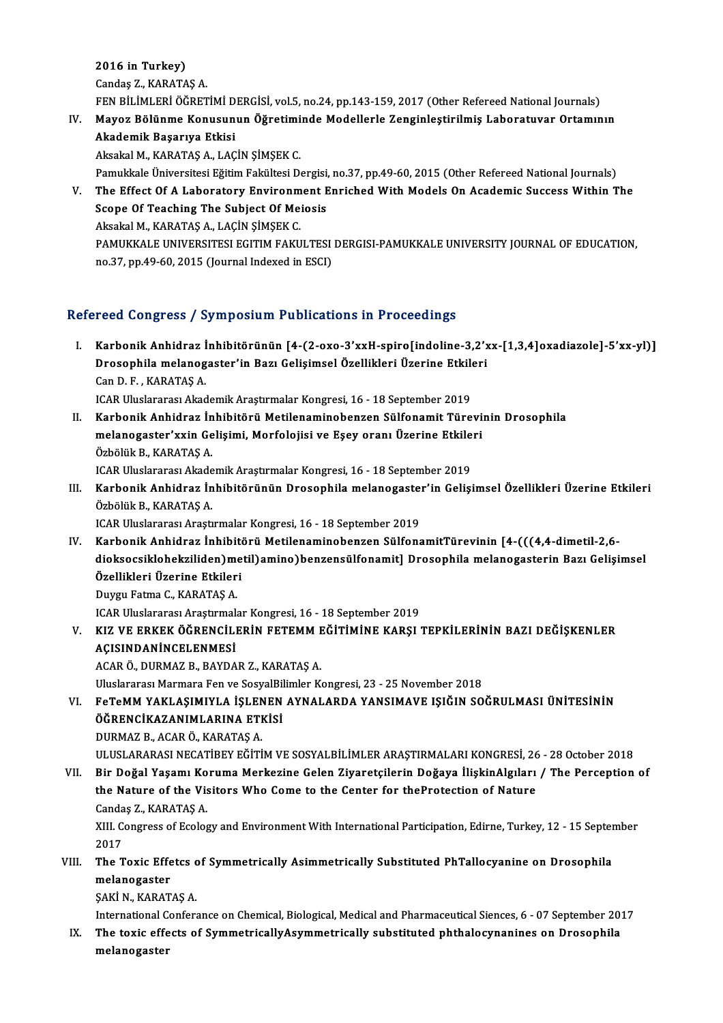2016 in Turkey) Candaş Z.,KARATAŞA.

2016 i<mark>n Turkey)</mark><br>Candaş Z., KARATAŞ A.<br>FEN BİLİMLERİ ÖĞRETİMİ DERGİSİ, vol.5, no.24, pp.143-159, 2017 (Other Refereed National Journals)<br>Mayar Bölünme Konusunun Öğretiminde Medellerle Zenginleştirilmiş Leberstuyer Ortamın

Candaş Z., KARATAŞ A.<br>IV. Mayoz Bölünme Konusunun Öğretiminde Modellerle Zenginleştirilmiş Laboratuvar Ortamının<br>Alsadamik Basanus Ethisi FEN BİLİMLERİ ÖĞRETİMİ D<br>Mayoz Bölünme Konusun<br>Akademik Başarıya Etkisi<br>Akadal M. KARATAS A. LAC Mayoz Bölünme Konusunun Öğretimi<br>Akademik Başarıya Etkisi<br>Aksakal M., KARATAŞ A., LAÇİN ŞİMŞEK C.<br>Pamukkala Üniversitesi Fğitim Fakültesi D. Akademik Başarıya Etkisi<br>Aksakal M., KARATAŞ A., LAÇİN ŞİMŞEK C.<br>Pamukkale Üniversitesi Eğitim Fakültesi Dergisi, no.37, pp.49-60, 2015 (Other Refereed National Journals)<br>The Effect Of A.J.aberatery Envirenment Enriched Wi

Aksakal M., KARATAŞ A., LAÇİN ŞİMŞEK C.<br>Pamukkale Üniversitesi Eğitim Fakültesi Dergisi, no.37, pp.49-60, 2015 (Other Refereed National Journals)<br>V. The Effect Of A Laboratory Environment Enriched With Models On Academ Pamukkale Üniversitesi Eğitim Fakültesi Dergisi,<br>The Effect Of A Laboratory Environment E<br>Scope Of Teaching The Subject Of Meiosis<br>Akoakal M. KARATAS A J ACIN SIMSEK C Aksakal M., KARATAŞ A., LAÇİN ŞİMŞEK C. Scope Of Teaching The Subject Of Meiosis<br>Aksakal M., KARATAŞ A., LAÇİN ŞİMŞEK C.<br>PAMUKKALE UNIVERSITESI EGITIM FAKULTESI DERGISI-PAMUKKALE UNIVERSITY JOURNAL OF EDUCATION,<br>PR.37, PR.49, 69, 2015 (Journal Indoved in ESCI) Aksakal M., KARATAŞ A., LAÇİN ŞİMŞEK C.<br>PAMUKKALE UNIVERSITESI EGITIM FAKULTESI<br>no.37, pp.49-60, 2015 (Journal Indexed in ESCI)

# no.37, pp.49-60, 2015 (Journal Indexed in ESCI)<br>Refereed Congress / Symposium Publications in Proceedings

I. Karbonik Anhidraz İnhibitörünün [4-(2-oxo-3'xxH-spiro[indoline-3,2'xx-[1,3,4]oxadiazole]-5'xx-yl)] roca dongross 7 symposium i usiteations in 116eceunigs<br>Karbonik Anhidraz İnhibitörünün [4-(2-oxo-3'xxH-spiro[indoline-3,2'x<br>Drosophila melanogaster'in Bazı Gelişimsel Özellikleri Üzerine Etkileri Karbonik Anhidraz İ<br>Drosophila melanog<br>Can D. F. , KARATAŞ A.<br>ICAB Uluslananası Alma Drosophila melanogaster'in Bazı Gelişimsel Özellikleri Üzerine Etkilo<br>Can D. F. , KARATAŞ A.<br>ICAR Uluslararası Akademik Araştırmalar Kongresi, 16 - 18 September 2019<br>Karbonik Anhidrar İnhibitörü Metileneminehengen Sülfonem Can D. F. , KARATAŞ A.<br>ICAR Uluslararası Akademik Araştırmalar Kongresi, 16 - 18 September 2019<br>II. Karbonik Anhidraz İnhibitörü Metilenaminobenzen Sülfonamit Türevinin Drosophila<br>melanegastar'yyin Celisimi, Merfelejisi ve

- ICAR Uluslararası Akademik Araştırmalar Kongresi, 16 18 September 2019<br>Karbonik Anhidraz İnhibitörü Metilenaminobenzen Sülfonamit Türevi<br>melanogaster'xxin Gelişimi, Morfolojisi ve Eşey oranı Üzerine Etkileri<br>Örhölük B. K Karbonik Anhidraz İn<br>melanogaster'xxin Ge<br>Özbölük B., KARATAŞ A.<br>ICAB Uluslararası Akade melanogaster'xxin Gelişimi, Morfolojisi ve Eşey oranı Üzerine Etkileri<br>Özbölük B. KARATAS A.
- Özbölük B., KARATAŞ A.<br>ICAR Uluslararası Akademik Araştırmalar Kongresi, 16 18 September 2019<br>III. Karbonik Anhidraz İnhibitörünün Drosophila melanogaster'in Gelişimsel Özellikleri Üzerine Etkileri<br>Örbölük B. KARATAS A ICAR Uluslararası Akademik Araştırmalar Kongresi, 16 - 18 September 2019<br>Karbonik Anhidraz İnhibitörünün Drosophila melanogaster'in Geliş<br>Özbölük B., KARATAŞ A.<br>ICAR Uluslararası Araştırmalar Kongresi, 16 - 18 September 20 Karbonik Anhidraz İnhibitörünün Drosophila melanogaste:<br>Özbölük B., KARATAŞ A.<br>ICAR Uluslararası Araştırmalar Kongresi, 16 - 18 September 2019<br>Karbonik Anhidraz İnhibitörü Metileneminehengen Sülfone

IV. Karbonik Anhidraz İnhibitörü Metilenaminobenzen SülfonamitTürevinin [4-(((4,4-dimetil-2,6- ICAR Uluslararası Araştırmalar Kongresi, 16 - 18 September 2019<br>Karbonik Anhidraz İnhibitörü Metilenaminobenzen SülfonamitTürevinin [4-(((4,4-dimetil-2,6-<br>dioksocsiklohekziliden)metil)amino)benzensülfonamit] Drosophila mel Karbonik Anhidraz İnhibiti<br>dioksocsiklohekziliden)me<br>Özellikleri Üzerine Etkileri<br>Duvay Fatme C. KARATAS A dioksocsiklohekziliden)me<br>Özellikleri Üzerine Etkiler<br>Duygu Fatma C., KARATAŞ A.<br>ICAR Uluslararası Arastumalı Özellikleri Üzerine Etkileri<br>Duygu Fatma C., KARATAŞ A.<br>ICAR Uluslararası Araştırmalar Kongresi, 16 - 18 September 2019

Duygu Fatma C., KARATAŞ A.<br>ICAR Uluslararası Araştırmalar Kongresi, 16 - 18 September 2019<br>V. KIZ VE ERKEK ÖĞRENCİLERİN FETEMM EĞİTİMİNE KARŞI TEPKİLERİNİN BAZI DEĞİŞKENLER<br>ACISINDANİNGELENMESİ ICAR Uluslararası Araştırmal<br>KIZ VE ERKEK ÖĞRENCİLI<br>AÇISINDANİNCELENMESİ<br>AÇAR Ö. DURMAZ B. BAYDA

AÇISINDANİNCELENMESİ<br>ACAR Ö., DURMAZ B., BAYDAR Z., KARATAŞ A.

AÇISINDANİNCELENMESİ<br>ACAR Ö., DURMAZ B., BAYDAR Z., KARATAŞ A.<br>Uluslararası Marmara Fen ve SosyalBilimler Kongresi, 23 - 25 November 2018<br>EcToMM YAKLASIMIYLA İSLENEN AYNALARDA YANSIMAVE ISIĞIN SO

ACAR Ö., DURMAZ B., BAYDAR Z., KARATAŞ A.<br>Uluslararası Marmara Fen ve SosyalBilimler Kongresi, 23 - 25 November 2018<br>VI. FeTeMM YAKLAŞIMIYLA İŞLENEN AYNALARDA YANSIMAVE IŞIĞIN SOĞRULMASI ÜNİTESİNİN<br>ÖĞPENCİKAZANIMI APIN Uluslararası Marmara Fen ve SosyalBil<br>FeTeMM YAKLAŞIMIYLA İŞLENEN<br>ÖĞRENCİKAZANIMLARINA ETKİSİ<br>DUPMAZ BACARÖ KARATASA FeTeMM YAKLAŞIMIYLA İŞLEN<br>ÖĞRENCİKAZANIMLARINA ETI<br>DURMAZ B., ACAR Ö., KARATAŞ A.<br>ULUSLARARASI NECATİREV EĞİTİ ÖĞRENCİKAZANIMLARINA ETKİSİ<br>DURMAZ B., ACAR Ö., KARATAŞ A.<br>ULUSLARARASI NECATİBEY EĞİTİM VE SOSYALBİLİMLER ARAŞTIRMALARI KONGRESİ, 26 - 28 October 2018<br>Bir Doğal Yasamı Karuma Markarina Calar Zivaratsilerin Doğava İlişkin

DURMAZ B., ACAR Ö., KARATAŞ A.<br>ULUSLARARASI NECATİBEY EĞİTİM VE SOSYALBİLİMLER ARAŞTIRMALARI KONGRESİ, 26 - 28 October 2018<br>VII. Bir Doğal Yaşamı Koruma Merkezine Gelen Ziyaretçilerin Doğaya İlişkinAlgıları / The Perce

ULUSLARARASI NECATIBEY EĞİTİM VE SOSYALBİLİMLER ARAŞTIRMALARI KONGRESİ, 26<br>Bir Doğal Yaşamı Koruma Merkezine Gelen Ziyaretçilerin Doğaya İlişkinAlgıları<br>the Nature of the Visitors Who Come to the Center for theProtection o the Nature of the Visitors Who Come to the Center for the Protection of Nature Candas Z., KARATAS A. the Nature of the Visitors Who Come to the Center for theProtection of Nature<br>Candaş Z., KARATAŞ A.<br>XIII. Congress of Ecology and Environment With International Participation, Edirne, Turkey, 12 - 15 September<br>2017 Canda<br>XIII. C<br>2017<br>The T

## XIII. Congress of Ecology and Environment With International Participation, Edirne, Turkey, 12 - 15 Septer<br>2017<br>VIII. The Toxic Effetcs of Symmetrically Asimmetrically Substituted PhTallocyanine on Drosophila<br>melanography 2017<br>The Toxic Effetcs c<br>melanogaster<br>SAKİ N., KARATAŞ A. The Toxic Effetcs of Symmetrically Asimmetrically Substituted PhTallocyanine on Drosophila melanogaster<br>ŞAKİ N., KARATAŞ A.<br>International Conferance on Chemical, Biological, Medical and Pharmaceutical Siences, 6 - 07 September 2017<br>The tovie effects of SummetricallyAeummetrically substituted phthelesynanines on

IX. The toxic effects of Symmetrically Asymmetrically substituted phthalocynanines on Drosophila<br>melanogaster International C<br><mark>The toxic effe</mark><br>melanogaster